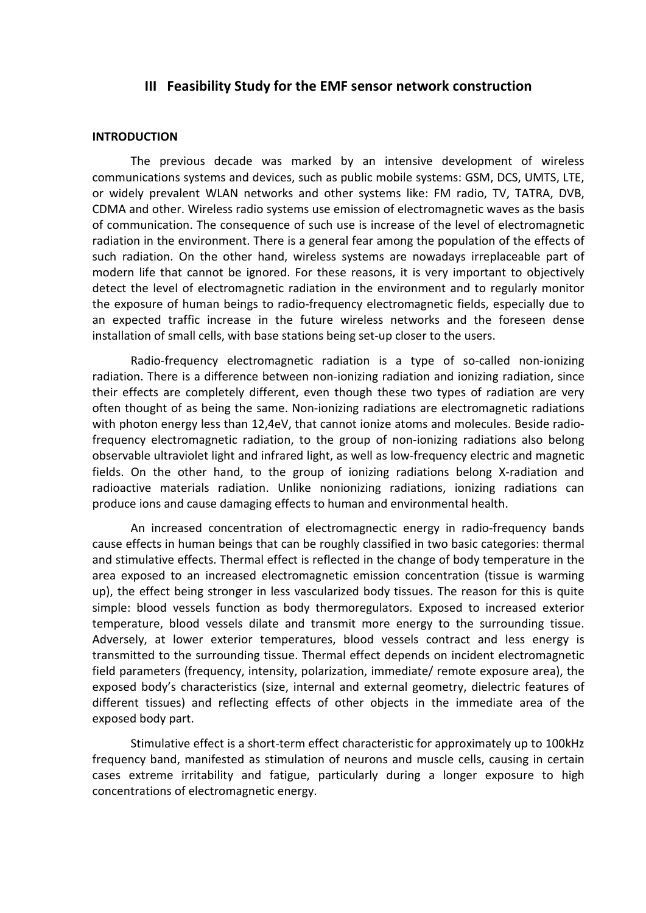## **III Feasibility Study for the EMF sensor network construction**

## **INTRODUCTION**

The previous decade was marked by an intensive development of wireless communications systems and devices, such as public mobile systems: GSM, DCS, UMTS, LTE, or widely prevalent WLAN networks and other systems like: FM radio, TV, TATRA, DVB, CDMA and other. Wireless radio systems use emission of electromagnetic waves as the basis of communication. The consequence of such use is increase of the level of electromagnetic radiation in the environment. There is a general fear among the population of the effects of such radiation. On the other hand, wireless systems are nowadays irreplaceable part of modern life that cannot be ignored. For these reasons, it is very important to objectively detect the level of electromagnetic radiation in the environment and to regularly monitor the exposure of human beings to radio-frequency electromagnetic fields, especially due to an expected traffic increase in the future wireless networks and the foreseen dense installation of small cells, with base stations being set-up closer to the users.

Radio-frequency electromagnetic radiation is a type of so-called non-ionizing radiation. There is a difference between non-ionizing radiation and ionizing radiation, since their effects are completely different, even though these two types of radiation are very often thought of as being the same. Non-ionizing radiations are electromagnetic radiations with photon energy less than 12,4eV, that cannot ionize atoms and molecules. Beside radiofrequency electromagnetic radiation, to the group of non-ionizing radiations also belong observable ultraviolet light and infrared light, as well as low-frequency electric and magnetic fields. On the other hand, to the group of ionizing radiations belong X-radiation and radioactive materials radiation. Unlike nonionizing radiations, ionizing radiations can produce ions and cause damaging effects to human and environmental health.

An increased concentration of electromagnectic energy in radio-frequency bands cause effects in human beings that can be roughly classified in two basic categories: thermal and stimulative effects. Thermal effect is reflected in the change of body temperature in the area exposed to an increased electromagnetic emission concentration (tissue is warming up), the effect being stronger in less vascularized body tissues. The reason for this is quite simple: blood vessels function as body thermoregulators. Exposed to increased exterior temperature, blood vessels dilate and transmit more energy to the surrounding tissue. Adversely, at lower exterior temperatures, blood vessels contract and less energy is transmitted to the surrounding tissue. Thermal effect depends on incident electromagnetic field parameters (frequency, intensity, polarization, immediate/ remote exposure area), the exposed body's characteristics (size, internal and external geometry, dielectric features of different tissues) and reflecting effects of other objects in the immediate area of the exposed body part.

Stimulative effect is a short-term effect characteristic for approximately up to 100kHz frequency band, manifested as stimulation of neurons and muscle cells, causing in certain cases extreme irritability and fatigue, particularly during a longer exposure to high concentrations of electromagnetic energy.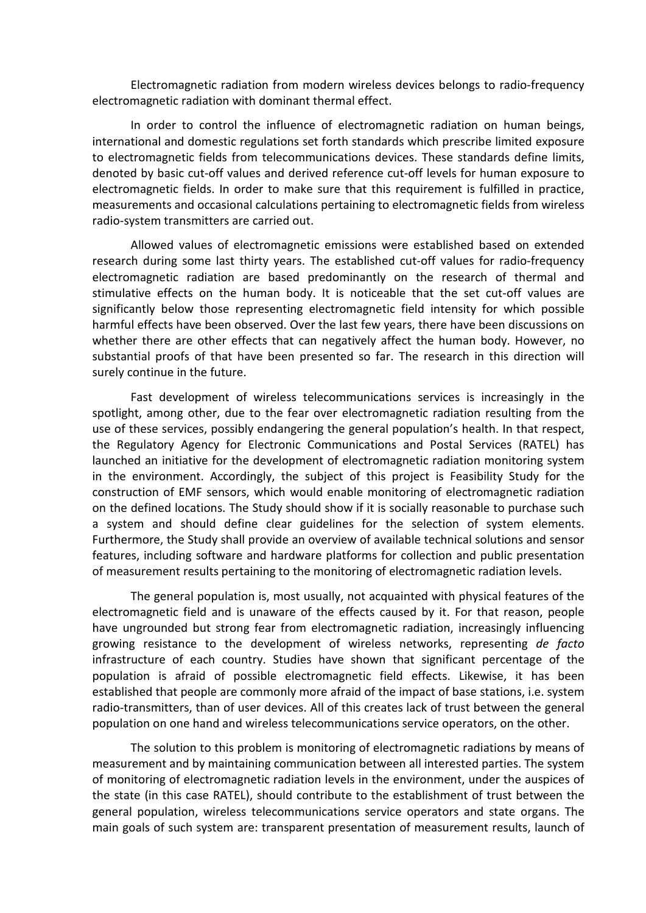Electromagnetic radiation from modern wireless devices belongs to radio-frequency electromagnetic radiation with dominant thermal effect.

In order to control the influence of electromagnetic radiation on human beings, international and domestic regulations set forth standards which prescribe limited exposure to electromagnetic fields from telecommunications devices. These standards define limits, denoted by basic cut-off values and derived reference cut-off levels for human exposure to electromagnetic fields. In order to make sure that this requirement is fulfilled in practice, measurements and occasional calculations pertaining to electromagnetic fields from wireless radio-system transmitters are carried out.

Allowed values of electromagnetic emissions were established based on extended research during some last thirty years. The established cut-off values for radio-frequency electromagnetic radiation are based predominantly on the research of thermal and stimulative effects on the human body. It is noticeable that the set cut-off values are significantly below those representing electromagnetic field intensity for which possible harmful effects have been observed. Over the last few years, there have been discussions on whether there are other effects that can negatively affect the human body. However, no substantial proofs of that have been presented so far. The research in this direction will surely continue in the future.

Fast development of wireless telecommunications services is increasingly in the spotlight, among other, due to the fear over electromagnetic radiation resulting from the use of these services, possibly endangering the general population's health. In that respect, the Regulatory Agency for Electronic Communications and Postal Services (RATEL) has launched an initiative for the development of electromagnetic radiation monitoring system in the environment. Accordingly, the subject of this project is Feasibility Study for the construction of EMF sensors, which would enable monitoring of electromagnetic radiation on the defined locations. The Study should show if it is socially reasonable to purchase such a system and should define clear guidelines for the selection of system elements. Furthermore, the Study shall provide an overview of available technical solutions and sensor features, including software and hardware platforms for collection and public presentation of measurement results pertaining to the monitoring of electromagnetic radiation levels.

The general population is, most usually, not acquainted with physical features of the electromagnetic field and is unaware of the effects caused by it. For that reason, people have ungrounded but strong fear from electromagnetic radiation, increasingly influencing growing resistance to the development of wireless networks, representing *de facto* infrastructure of each country. Studies have shown that significant percentage of the population is afraid of possible electromagnetic field effects. Likewise, it has been established that people are commonly more afraid of the impact of base stations, i.e. system radio-transmitters, than of user devices. All of this creates lack of trust between the general population on one hand and wireless telecommunications service operators, on the other.

The solution to this problem is monitoring of electromagnetic radiations by means of measurement and by maintaining communication between all interested parties. The system of monitoring of electromagnetic radiation levels in the environment, under the auspices of the state (in this case RATEL), should contribute to the establishment of trust between the general population, wireless telecommunications service operators and state organs. The main goals of such system are: transparent presentation of measurement results, launch of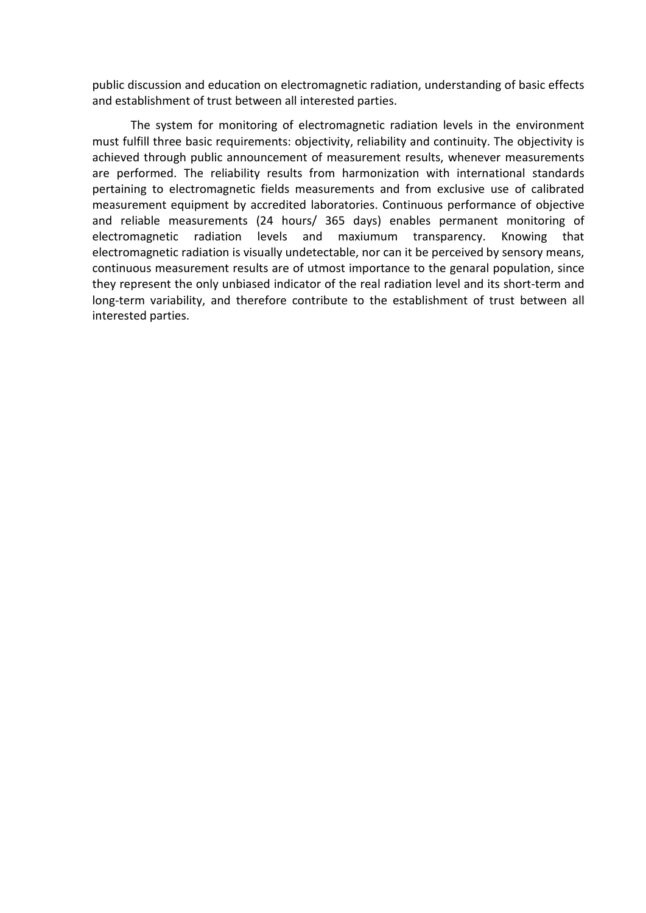public discussion and education on electromagnetic radiation, understanding of basic effects and establishment of trust between all interested parties.

The system for monitoring of electromagnetic radiation levels in the environment must fulfill three basic requirements: objectivity, reliability and continuity. The objectivity is achieved through public announcement of measurement results, whenever measurements are performed. The reliability results from harmonization with international standards pertaining to electromagnetic fields measurements and from exclusive use of calibrated measurement equipment by accredited laboratories. Continuous performance of objective and reliable measurements (24 hours/ 365 days) enables permanent monitoring of electromagnetic radiation levels and maxiumum transparency. Knowing that electromagnetic radiation is visually undetectable, nor can it be perceived by sensory means, continuous measurement results are of utmost importance to the genaral population, since they represent the only unbiased indicator of the real radiation level and its short-term and long-term variability, and therefore contribute to the establishment of trust between all interested parties.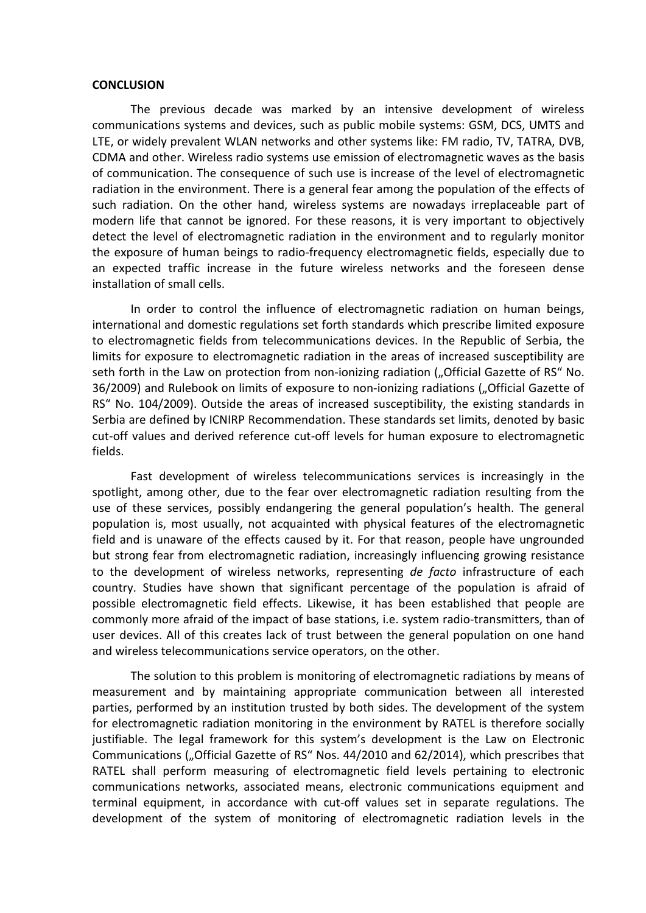## **CONCLUSION**

The previous decade was marked by an intensive development of wireless communications systems and devices, such as public mobile systems: GSM, DCS, UMTS and LTE, or widely prevalent WLAN networks and other systems like: FM radio, TV, TATRA, DVB, CDMA and other. Wireless radio systems use emission of electromagnetic waves as the basis of communication. The consequence of such use is increase of the level of electromagnetic radiation in the environment. There is a general fear among the population of the effects of such radiation. On the other hand, wireless systems are nowadays irreplaceable part of modern life that cannot be ignored. For these reasons, it is very important to objectively detect the level of electromagnetic radiation in the environment and to regularly monitor the exposure of human beings to radio-frequency electromagnetic fields, especially due to an expected traffic increase in the future wireless networks and the foreseen dense installation of small cells.

In order to control the influence of electromagnetic radiation on human beings, international and domestic regulations set forth standards which prescribe limited exposure to electromagnetic fields from telecommunications devices. In the Republic of Serbia, the limits for exposure to electromagnetic radiation in the areas of increased susceptibility are seth forth in the Law on protection from non-ionizing radiation ("Official Gazette of RS" No. 36/2009) and Rulebook on limits of exposure to non-ionizing radiations ("Official Gazette of RS" No. 104/2009). Outside the areas of increased susceptibility, the existing standards in Serbia are defined by ICNIRP Recommendation. These standards set limits, denoted by basic cut-off values and derived reference cut-off levels for human exposure to electromagnetic fields.

Fast development of wireless telecommunications services is increasingly in the spotlight, among other, due to the fear over electromagnetic radiation resulting from the use of these services, possibly endangering the general population's health. The general population is, most usually, not acquainted with physical features of the electromagnetic field and is unaware of the effects caused by it. For that reason, people have ungrounded but strong fear from electromagnetic radiation, increasingly influencing growing resistance to the development of wireless networks, representing *de facto* infrastructure of each country. Studies have shown that significant percentage of the population is afraid of possible electromagnetic field effects. Likewise, it has been established that people are commonly more afraid of the impact of base stations, i.e. system radio-transmitters, than of user devices. All of this creates lack of trust between the general population on one hand and wireless telecommunications service operators, on the other.

The solution to this problem is monitoring of electromagnetic radiations by means of measurement and by maintaining appropriate communication between all interested parties, performed by an institution trusted by both sides. The development of the system for electromagnetic radiation monitoring in the environment by RATEL is therefore socially justifiable. The legal framework for this system's development is the Law on Electronic Communications ("Official Gazette of RS" Nos. 44/2010 and 62/2014), which prescribes that RATEL shall perform measuring of electromagnetic field levels pertaining to electronic communications networks, associated means, electronic communications equipment and terminal equipment, in accordance with cut-off values set in separate regulations. The development of the system of monitoring of electromagnetic radiation levels in the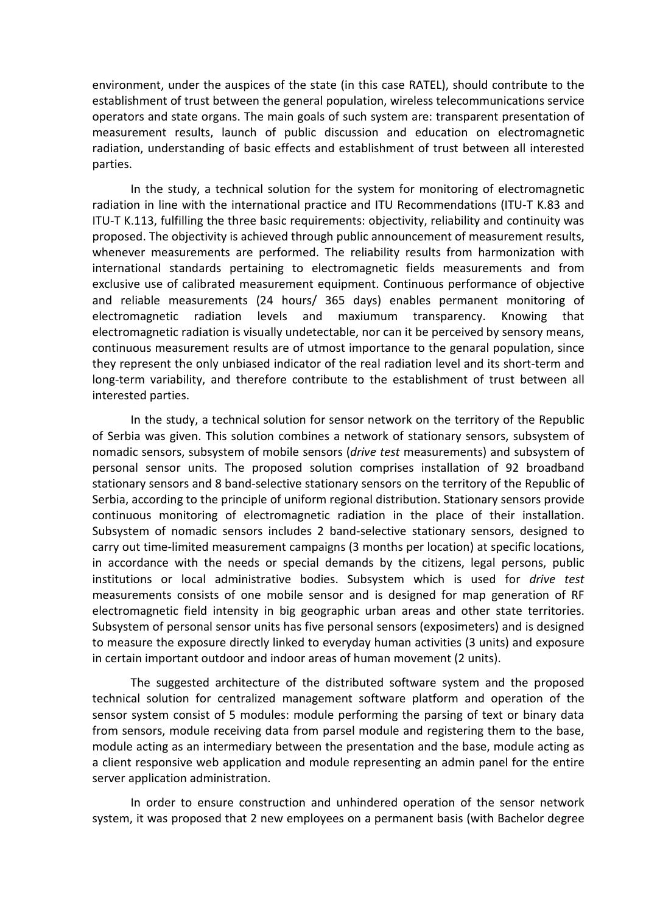environment, under the auspices of the state (in this case RATEL), should contribute to the establishment of trust between the general population, wireless telecommunications service operators and state organs. The main goals of such system are: transparent presentation of measurement results, launch of public discussion and education on electromagnetic radiation, understanding of basic effects and establishment of trust between all interested parties.

In the study, a technical solution for the system for monitoring of electromagnetic radiation in line with the international practice and ITU Recommendations (ITU-T K.83 and ITU-T K.113, fulfilling the three basic requirements: objectivity, reliability and continuity was proposed. The objectivity is achieved through public announcement of measurement results, whenever measurements are performed. The reliability results from harmonization with international standards pertaining to electromagnetic fields measurements and from exclusive use of calibrated measurement equipment. Continuous performance of objective and reliable measurements (24 hours/ 365 days) enables permanent monitoring of electromagnetic radiation levels and maxiumum transparency. Knowing that electromagnetic radiation is visually undetectable, nor can it be perceived by sensory means, continuous measurement results are of utmost importance to the genaral population, since they represent the only unbiased indicator of the real radiation level and its short-term and long-term variability, and therefore contribute to the establishment of trust between all interested parties.

In the study, a technical solution for sensor network on the territory of the Republic of Serbia was given. This solution combines a network of stationary sensors, subsystem of nomadic sensors, subsystem of mobile sensors (*drive test* measurements) and subsystem of personal sensor units. The proposed solution comprises installation of 92 broadband stationary sensors and 8 band-selective stationary sensors on the territory of the Republic of Serbia, according to the principle of uniform regional distribution. Stationary sensors provide continuous monitoring of electromagnetic radiation in the place of their installation. Subsystem of nomadic sensors includes 2 band-selective stationary sensors, designed to carry out time-limited measurement campaigns (3 months per location) at specific locations, in accordance with the needs or special demands by the citizens, legal persons, public institutions or local administrative bodies. Subsystem which is used for *drive test* measurements consists of one mobile sensor and is designed for map generation of RF electromagnetic field intensity in big geographic urban areas and other state territories. Subsystem of personal sensor units has five personal sensors (exposimeters) and is designed to measure the exposure directly linked to everyday human activities (3 units) and exposure in certain important outdoor and indoor areas of human movement (2 units).

The suggested architecture of the distributed software system and the proposed technical solution for centralized management software platform and operation of the sensor system consist of 5 modules: module performing the parsing of text or binary data from sensors, module receiving data from parsel module and registering them to the base, module acting as an intermediary between the presentation and the base, module acting as a client responsive web application and module representing an admin panel for the entire server application administration.

In order to ensure construction and unhindered operation of the sensor network system, it was proposed that 2 new employees on a permanent basis (with Bachelor degree